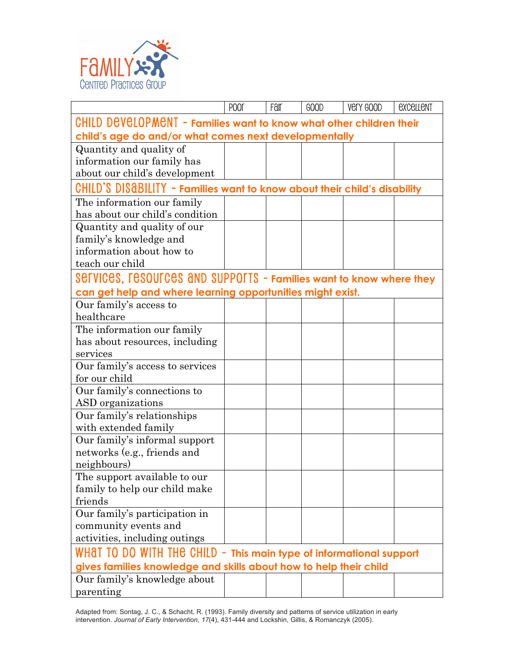

|                                                                           | P <sub>0</sub> 0r | Fair | GOOD | Very GOOD | <b><i><u>C</u>RCGLLENT</i></b> |  |  |  |
|---------------------------------------------------------------------------|-------------------|------|------|-----------|--------------------------------|--|--|--|
| CHILD DEVELOPMENT - Families want to know what other children their       |                   |      |      |           |                                |  |  |  |
| child's age do and/or what comes next developmentally                     |                   |      |      |           |                                |  |  |  |
| Quantity and quality of                                                   |                   |      |      |           |                                |  |  |  |
| information our family has                                                |                   |      |      |           |                                |  |  |  |
| about our child's development                                             |                   |      |      |           |                                |  |  |  |
| CHILD'S DISABILITY - Families want to know about their child's disability |                   |      |      |           |                                |  |  |  |
| The information our family                                                |                   |      |      |           |                                |  |  |  |
| has about our child's condition                                           |                   |      |      |           |                                |  |  |  |
| Quantity and quality of our                                               |                   |      |      |           |                                |  |  |  |
| family's knowledge and                                                    |                   |      |      |           |                                |  |  |  |
| information about how to                                                  |                   |      |      |           |                                |  |  |  |
| teach our child                                                           |                   |      |      |           |                                |  |  |  |
| SETVICES, TESOUTCES AND SUPPOTTS - Families want to know where they       |                   |      |      |           |                                |  |  |  |
| can get help and where learning opportunities might exist.                |                   |      |      |           |                                |  |  |  |
| Our family's access to                                                    |                   |      |      |           |                                |  |  |  |
| healthcare                                                                |                   |      |      |           |                                |  |  |  |
| The information our family                                                |                   |      |      |           |                                |  |  |  |
| has about resources, including                                            |                   |      |      |           |                                |  |  |  |
| services                                                                  |                   |      |      |           |                                |  |  |  |
| Our family's access to services                                           |                   |      |      |           |                                |  |  |  |
| for our child                                                             |                   |      |      |           |                                |  |  |  |
| Our family's connections to                                               |                   |      |      |           |                                |  |  |  |
| ASD organizations                                                         |                   |      |      |           |                                |  |  |  |
| Our family's relationships                                                |                   |      |      |           |                                |  |  |  |
| with extended family                                                      |                   |      |      |           |                                |  |  |  |
| Our family's informal support                                             |                   |      |      |           |                                |  |  |  |
| networks (e.g., friends and                                               |                   |      |      |           |                                |  |  |  |
| neighbours)                                                               |                   |      |      |           |                                |  |  |  |
| The support available to our                                              |                   |      |      |           |                                |  |  |  |
| family to help our child make                                             |                   |      |      |           |                                |  |  |  |
| friends                                                                   |                   |      |      |           |                                |  |  |  |
| Our family's participation in                                             |                   |      |      |           |                                |  |  |  |
| community events and                                                      |                   |      |      |           |                                |  |  |  |
| activities, including outings                                             |                   |      |      |           |                                |  |  |  |
| WHAT TO DO WITH THE CHILD - This main type of informational support       |                   |      |      |           |                                |  |  |  |
| gives families knowledge and skills about how to help their child         |                   |      |      |           |                                |  |  |  |
| Our family's knowledge about                                              |                   |      |      |           |                                |  |  |  |
| parenting                                                                 |                   |      |      |           |                                |  |  |  |

Adapted from: Sontag, J. C., & Schacht, R. (1993). Family diversity and patterns of service utilization in early intervention. *Journal of Early Intervention*, *17*(4), 431-444 and Lockshin, Gillis, & Romanczyk (2005).